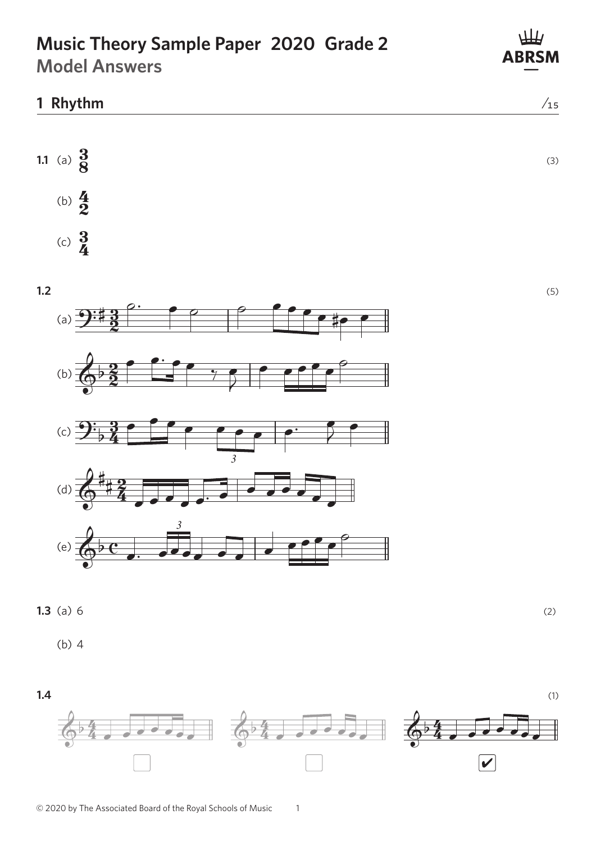# **Music Theory Sample Paper 2020 Grade 2**

**Model Answers**

# **1.1** (a)  $\frac{3}{8}$  $\frac{3}{8}$  (3) **1 Rhythm** ⁄15



AB











**1.3** (a) 6 (2)  $\delta$  $\ddot{\phantom{0}}$ 

(b) 4



1

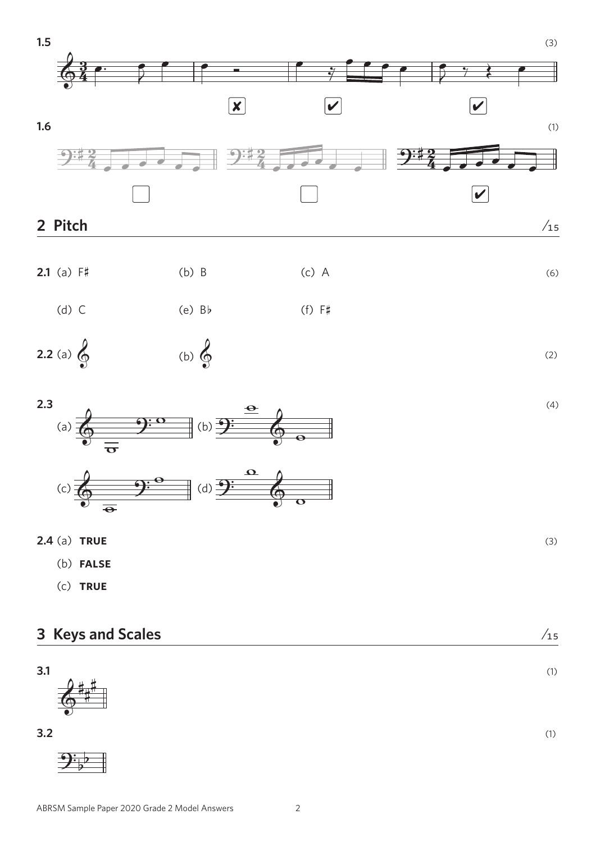







a) **TR** # **2.4** (a) **true** (3) w

- **FALSE** (b) **false**
- & ? (c) **true**

 $\overline{y}$ 

#

| 3 Keys and Scales      | $\sqrt{15}$ |
|------------------------|-------------|
| 3.1<br>神世<br>$\bullet$ | (1)         |
| 3.2                    | (1)         |
|                        |             |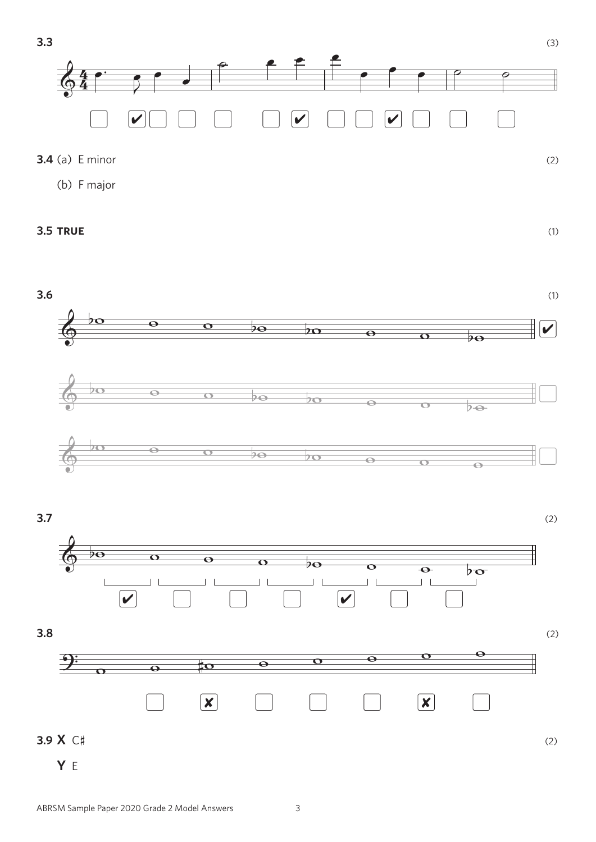



 $\boxed{\mathbf{X}}$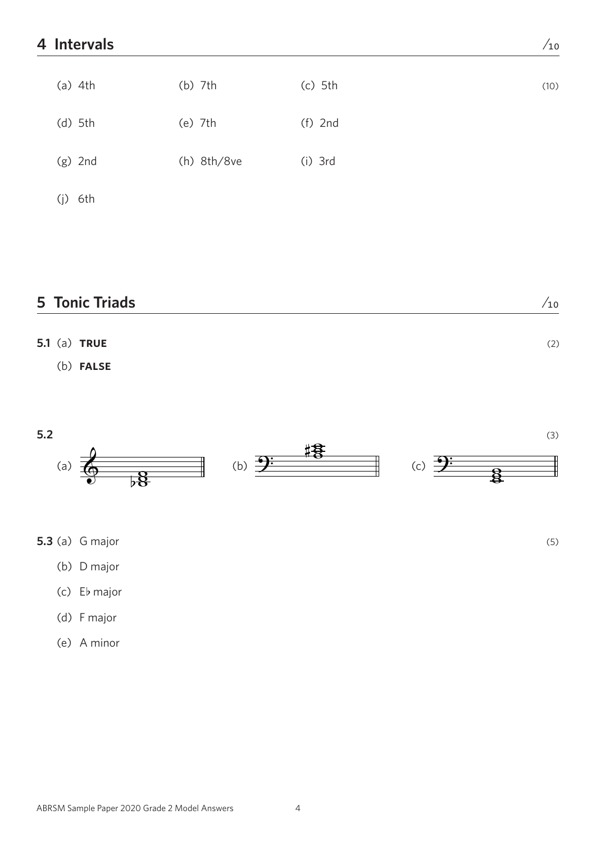#### **4 Intervals** ⁄10

| $(a)$ 4th  | $(b)$ 7th     | $(c)$ 5th | (10) |
|------------|---------------|-----------|------|
| $(d)$ 5th  | $(e)$ 7th     | $(f)$ 2nd |      |
| $(g)$ 2nd  | $(h)$ 8th/8ve | $(i)$ 3rd |      |
| 6th<br>(j) |               |           |      |

#### **5 Tonic Triads** */*<sub>10</sub>

## **5.1** (a) **true** (2) (b) **false**



**5.3** (a) G major (5)

- (b) D major
- (c) Eb major
- (d) F major
- (e) A minor